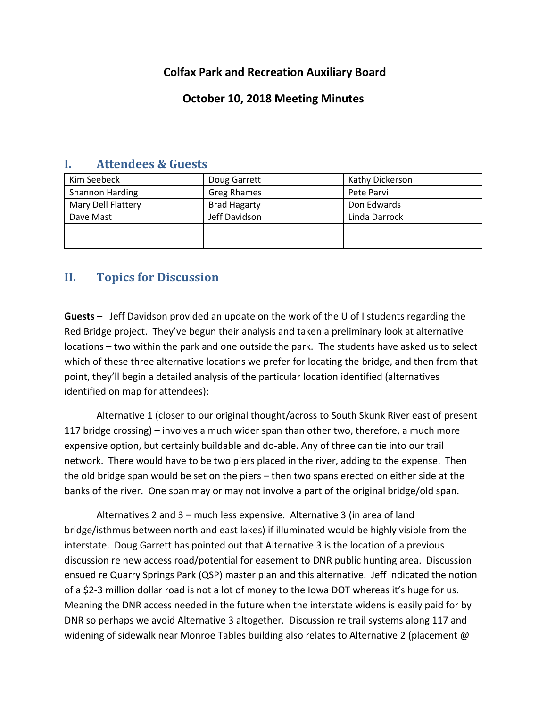# **Colfax Park and Recreation Auxiliary Board**

### **October 10, 2018 Meeting Minutes**

| Kim Seebeck        | Doug Garrett        | Kathy Dickerson |
|--------------------|---------------------|-----------------|
| Shannon Harding    | <b>Greg Rhames</b>  | Pete Parvi      |
| Mary Dell Flattery | <b>Brad Hagarty</b> | Don Edwards     |
| Dave Mast          | Jeff Davidson       | Linda Darrock   |
|                    |                     |                 |
|                    |                     |                 |

### **I. Attendees & Guests**

## **II. Topics for Discussion**

**Guests –** Jeff Davidson provided an update on the work of the U of I students regarding the Red Bridge project. They've begun their analysis and taken a preliminary look at alternative locations – two within the park and one outside the park. The students have asked us to select which of these three alternative locations we prefer for locating the bridge, and then from that point, they'll begin a detailed analysis of the particular location identified (alternatives identified on map for attendees):

Alternative 1 (closer to our original thought/across to South Skunk River east of present 117 bridge crossing) – involves a much wider span than other two, therefore, a much more expensive option, but certainly buildable and do-able. Any of three can tie into our trail network. There would have to be two piers placed in the river, adding to the expense. Then the old bridge span would be set on the piers – then two spans erected on either side at the banks of the river. One span may or may not involve a part of the original bridge/old span.

Alternatives 2 and 3 – much less expensive. Alternative 3 (in area of land bridge/isthmus between north and east lakes) if illuminated would be highly visible from the interstate. Doug Garrett has pointed out that Alternative 3 is the location of a previous discussion re new access road/potential for easement to DNR public hunting area. Discussion ensued re Quarry Springs Park (QSP) master plan and this alternative. Jeff indicated the notion of a \$2-3 million dollar road is not a lot of money to the Iowa DOT whereas it's huge for us. Meaning the DNR access needed in the future when the interstate widens is easily paid for by DNR so perhaps we avoid Alternative 3 altogether. Discussion re trail systems along 117 and widening of sidewalk near Monroe Tables building also relates to Alternative 2 (placement @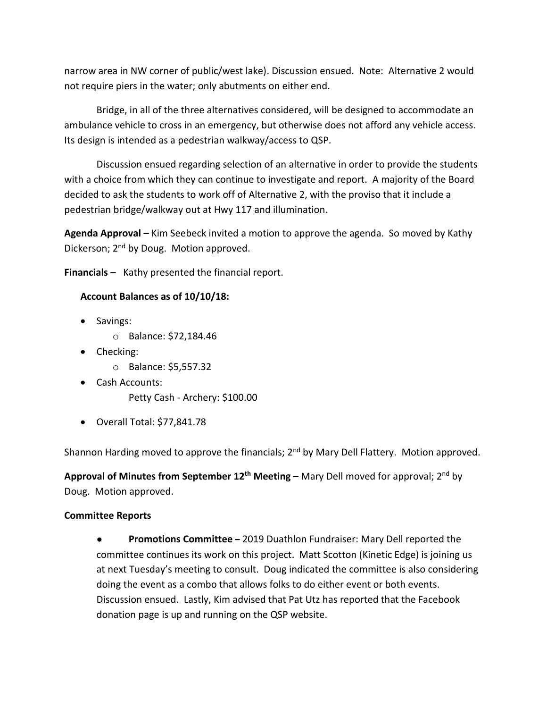narrow area in NW corner of public/west lake). Discussion ensued. Note: Alternative 2 would not require piers in the water; only abutments on either end.

Bridge, in all of the three alternatives considered, will be designed to accommodate an ambulance vehicle to cross in an emergency, but otherwise does not afford any vehicle access. Its design is intended as a pedestrian walkway/access to QSP.

Discussion ensued regarding selection of an alternative in order to provide the students with a choice from which they can continue to investigate and report. A majority of the Board decided to ask the students to work off of Alternative 2, with the proviso that it include a pedestrian bridge/walkway out at Hwy 117 and illumination.

**Agenda Approval –** Kim Seebeck invited a motion to approve the agenda. So moved by Kathy Dickerson; 2<sup>nd</sup> by Doug. Motion approved.

**Financials –** Kathy presented the financial report.

#### **Account Balances as of 10/10/18:**

- Savings:
	- o Balance: \$72,184.46
- Checking:
	- o Balance: \$5,557.32
- Cash Accounts: Petty Cash - Archery: \$100.00
- Overall Total: \$77,841.78

Shannon Harding moved to approve the financials; 2<sup>nd</sup> by Mary Dell Flattery. Motion approved.

**Approval of Minutes from September 12th Meeting –** Mary Dell moved for approval; 2nd by Doug. Motion approved.

#### **Committee Reports**

● **Promotions Committee –** 2019 Duathlon Fundraiser: Mary Dell reported the committee continues its work on this project. Matt Scotton (Kinetic Edge) is joining us at next Tuesday's meeting to consult. Doug indicated the committee is also considering doing the event as a combo that allows folks to do either event or both events. Discussion ensued. Lastly, Kim advised that Pat Utz has reported that the Facebook donation page is up and running on the QSP website.